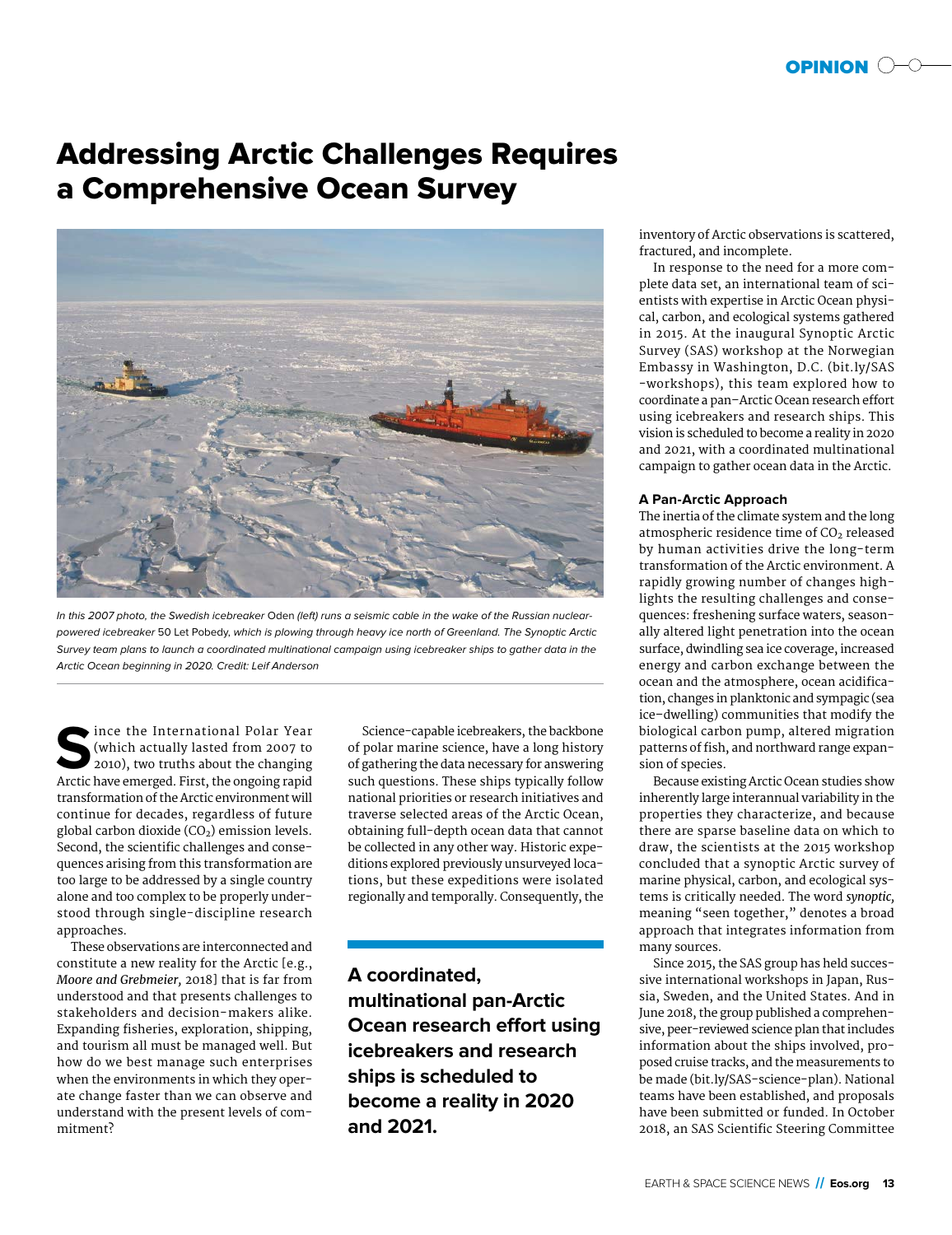# Addressing Arctic Challenges Requires a Comprehensive Ocean Survey



In this 2007 photo, the Swedish icebreaker Oden (left) runs a seismic cable in the wake of the Russian nuclearpowered icebreaker 50 Let Pobedy, which is plowing through heavy ice north of Greenland. The Synoptic Arctic Survey team plans to launch a coordinated multinational campaign using icebreaker ships to gather data in the Arctic Ocean beginning in 2020. Credit: Leif Anderson

Since the International Polar Year<br>
(which actually lasted from 2007 to<br>
2010), two truths about the changing<br>
Arctic have emerged First the ongoing ranid (which actually lasted from 2007 to 2010), two truths about the changing Arctic have emerged. First, the ongoing rapid transformation of the Arctic environment will continue for decades, regardless of future global carbon dioxide  $(CO<sub>2</sub>)$  emission levels. Second, the scientific challenges and consequences arising from this transformation are too large to be addressed by a single country alone and too complex to be properly understood through single- discipline research approaches.

These observations are interconnected and constitute a new reality for the Arctic [e.g., *Moore and Grebmeier,* 2018] that is far from understood and that presents challenges to stakeholders and decision- makers alike. Expanding fisheries, exploration, shipping, and tourism all must be managed well. But how do we best manage such enterprises when the environments in which they operate change faster than we can observe and understand with the present levels of commitment?

Science-capable icebreakers, the backbone of polar marine science, have a long history of gathering the data necessary for answering such questions. These ships typically follow national priorities or research initiatives and traverse selected areas of the Arctic Ocean, obtaining full-depth ocean data that cannot be collected in any other way. Historic expeditions explored previously unsurveyed locations, but these expeditions were isolated regionally and temporally. Consequently, the

**A coordinated, multinational pan-Arctic Ocean research effort using icebreakers and research ships is scheduled to become a reality in 2020 and 2021.**

inventory of Arctic observations is scattered, fractured, and incomplete.

In response to the need for a more complete data set, an international team of scientists with expertise in Arctic Ocean physical, carbon, and ecological systems gathered in 2015. At the inaugural Synoptic Arctic Survey (SAS) workshop at the Norwegian Embassy in Washington, D.C. (bit.ly/SAS -workshops), this team explored how to coordinate a pan–Arctic Ocean research effort using icebreakers and research ships. This vision is scheduled to become a reality in 2020 and 2021, with a coordinated multinational campaign to gather ocean data in the Arctic.

## **A Pan-Arctic Approach**

The inertia of the climate system and the long atmospheric residence time of  $CO<sub>2</sub>$  released by human activities drive the long-term transformation of the Arctic environment. A rapidly growing number of changes highlights the resulting challenges and consequences: freshening surface waters, seasonally altered light penetration into the ocean surface, dwindling sea ice coverage, increased energy and carbon exchange between the ocean and the atmosphere, ocean acidification, changes in planktonic and sympagic (sea ice– dwelling) communities that modify the biological carbon pump, altered migration patterns of fish, and northward range expansion of species.

Because existing Arctic Ocean studies show inherently large interannual variability in the properties they characterize, and because there are sparse baseline data on which to draw, the scientists at the 2015 workshop concluded that a synoptic Arctic survey of marine physical, carbon, and ecological systems is critically needed. The word *synoptic,* meaning "seen together," denotes a broad approach that integrates information from many sources.

Since 2015, the SAS group has held successive international workshops in Japan, Russia, Sweden, and the United States. And in June 2018, the group published a comprehensive, peer-reviewed science plan that includes information about the ships involved, proposed cruise tracks, and the measurements to be made (bit.ly/SAS-science-plan). National teams have been established, and proposals have been submitted or funded. In October 2018, an SAS Scientific Steering Committee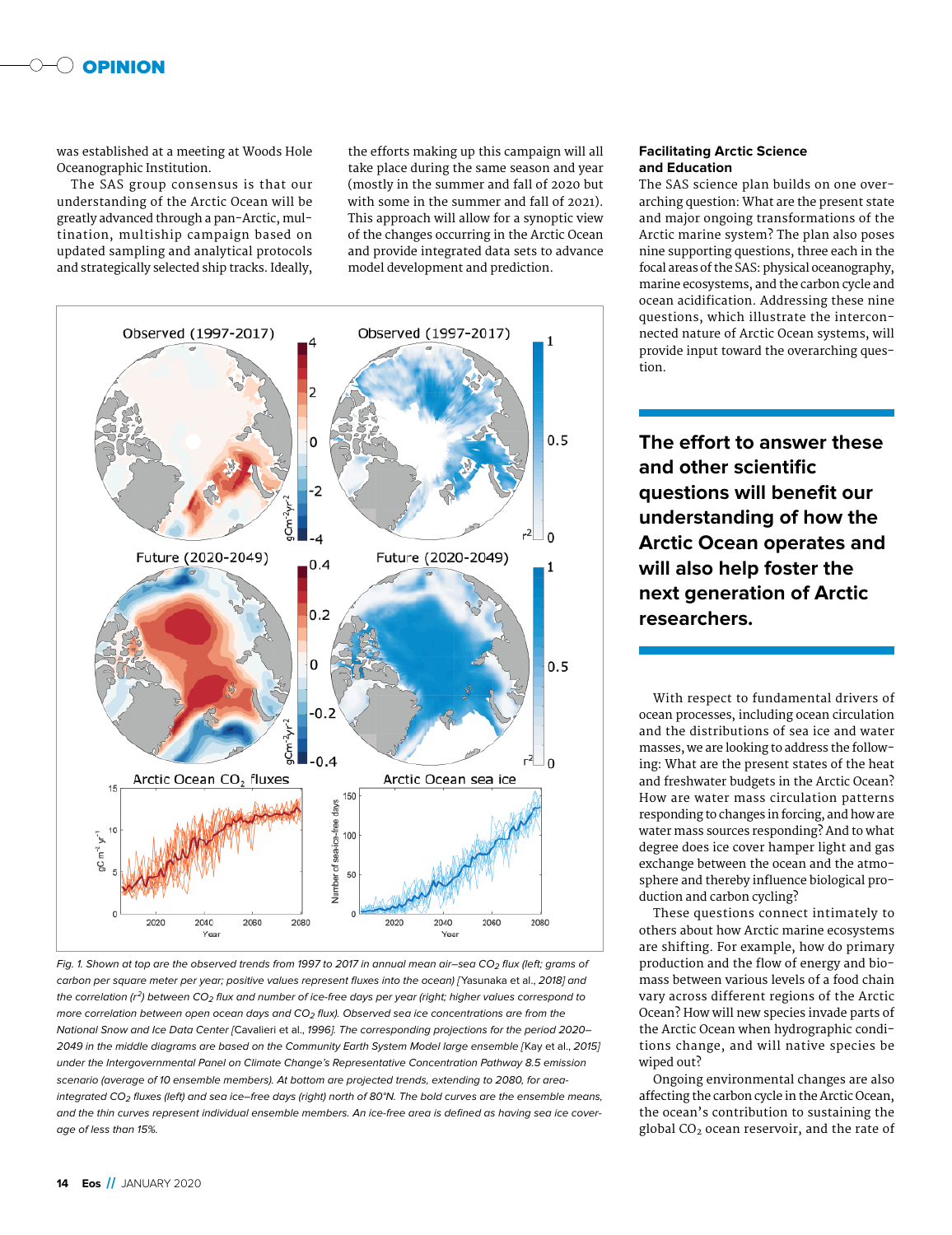

was established at a meeting at Woods Hole Oceanographic Institution.

The SAS group consensus is that our understanding of the Arctic Ocean will be greatly advanced through a pan-Arctic, mul tination, multiship campaign based on updated sampling and analytical protocols and strategically selected ship tracks. Ideally,

the efforts making up this campaign will all take place during the same season and year (mostly in the summer and fall of 2020 but with some in the summer and fall of 2021). This approach will allow for a synoptic view of the changes occurring in the Arctic Ocean and provide integrated data sets to advance model development and prediction.





### **Facilitating Arctic Science and Education**

The SAS science plan builds on one overarching question: What are the present state and major ongoing transformations of the Arctic marine system? The plan also poses nine supporting questions, three each in the focal areas of the SAS: physical oceanography, marine ecosystems, and the carbon cycle and ocean acidification. Addressing these nine questions, which illustrate the interconnected nature of Arctic Ocean systems, will provide input toward the overarching question.

**The effort to answer these and other scientific questions will benefit our understanding of how the Arctic Ocean operates and will also help foster the next generation of Arctic researchers.**

With respect to fundamental drivers of ocean processes, including ocean circulation and the distributions of sea ice and water masses, we are looking to address the following: What are the present states of the heat and freshwater budgets in the Arctic Ocean? How are water mass circulation patterns responding to changes in forcing, and how are water mass sources responding? And to what degree does ice cover hamper light and gas exchange between the ocean and the atmosphere and thereby influence biological production and carbon cycling?

These questions connect intimately to others about how Arctic marine ecosystems are shifting. For example, how do primary production and the flow of energy and biomass between various levels of a food chain vary across different regions of the Arctic Ocean? How will new species invade parts of the Arctic Ocean when hydrographic conditions change, and will native species be wiped out?

Ongoing environmental changes are also affecting the carbon cycle in the Arctic Ocean, the ocean's contribution to sustaining the global  $CO<sub>2</sub>$  ocean reservoir, and the rate of